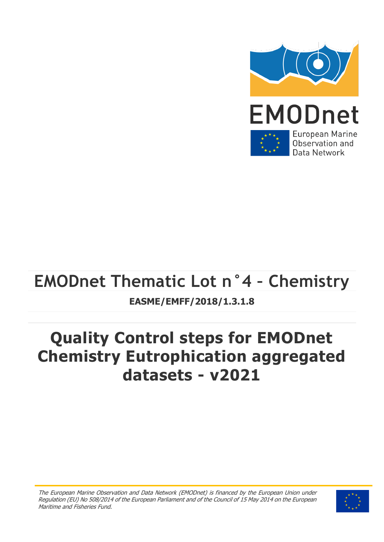

# **EMODnet Thematic Lot n°4 – Chemistry EASME/EMFF/2018/1.3.1.8**

# **Quality Control steps for EMODnet Chemistry Eutrophication aggregated datasets - v2021**

The European Marine Observation and Data Network (EMODnet) is financed by the European Union under Regulation (EU) No 508/2014 of the European Parliament and of the Council of 15 May 2014 on the European Maritime and Fisheries Fund.

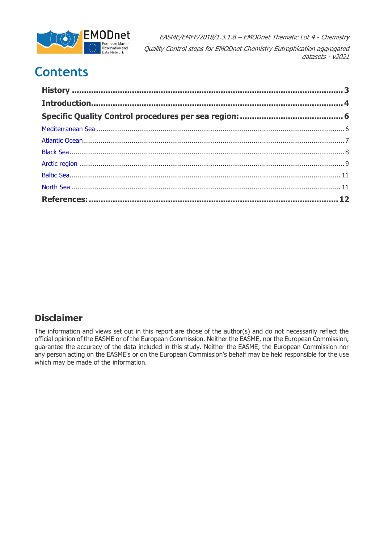

### **Contents**

#### **Disclaimer**

The information and views set out in this report are those of the author(s) and do not necessarily reflect the official opinion of the EASME or of the European Commission. Neither the EASME, nor the European Commission, guarantee the accuracy of the data included in this study. Neither the EASME, the European Commission nor any person acting on the EASME's or on the European Commission's behalf may be held responsible for the use which may be made of the information.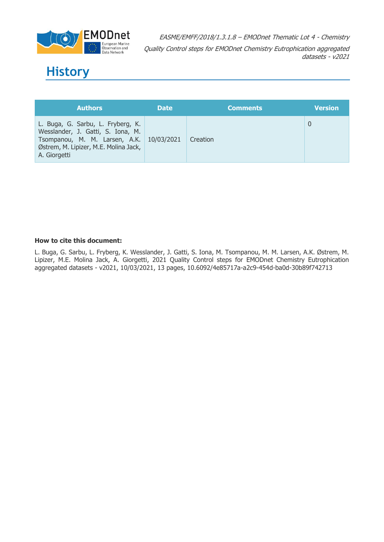

## <span id="page-2-0"></span>**History**

| <b>Authors</b>                                                                                                                                                              | <b>Date</b> | <b>Comments</b> | <b>Version</b> |
|-----------------------------------------------------------------------------------------------------------------------------------------------------------------------------|-------------|-----------------|----------------|
| L. Buga, G. Sarbu, L. Fryberg, K.<br>Wesslander, J. Gatti, S. Iona, M.<br>Tsompanou, M. M. Larsen, A.K. 10/03/2021<br>Østrem, M. Lipizer, M.E. Molina Jack,<br>A. Giorgetti |             | Creation        |                |

#### **How to cite this document:**

L. Buga, G. Sarbu, L. Fryberg, K. Wesslander, J. Gatti, S. Iona, M. Tsompanou, M. M. Larsen, A.K. Østrem, M. Lipizer, M.E. Molina Jack, A. Giorgetti, 2021 Quality Control steps for EMODnet Chemistry Eutrophication aggregated datasets - v2021, 10/03/2021, 13 pages, 10.6092/4e85717a-a2c9-454d-ba0d-30b89f742713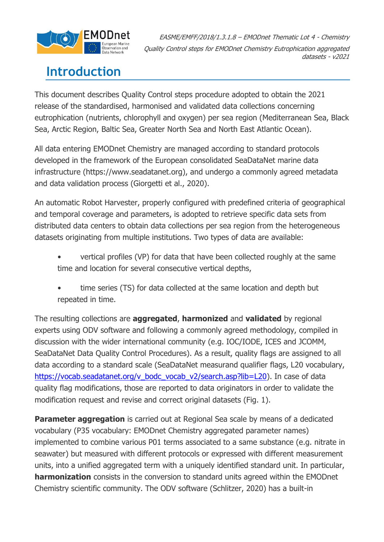

### <span id="page-3-0"></span>**Introduction**

This document describes Quality Control steps procedure adopted to obtain the 2021 release of the standardised, harmonised and validated data collections concerning eutrophication (nutrients, chlorophyll and oxygen) per sea region (Mediterranean Sea, Black Sea, Arctic Region, Baltic Sea, Greater North Sea and North East Atlantic Ocean).

All data entering EMODnet Chemistry are managed according to standard protocols developed in the framework of the European consolidated SeaDataNet marine data infrastructure (https://www.seadatanet.org), and undergo a commonly agreed metadata and data validation process (Giorgetti et al., 2020).

An automatic Robot Harvester, properly configured with predefined criteria of geographical and temporal coverage and parameters, is adopted to retrieve specific data sets from distributed data centers to obtain data collections per sea region from the heterogeneous datasets originating from multiple institutions. Two types of data are available:

- vertical profiles (VP) for data that have been collected roughly at the same time and location for several consecutive vertical depths,
- time series (TS) for data collected at the same location and depth but repeated in time.

The resulting collections are **aggregated**, **harmonized** and **validated** by regional experts using ODV software and following a commonly agreed methodology, compiled in discussion with the wider international community (e.g. IOC/IODE, ICES and JCOMM, SeaDataNet Data Quality Control Procedures). As a result, quality flags are assigned to all data according to a standard scale (SeaDataNet measurand qualifier flags, L20 vocabulary, [https://vocab.seadatanet.org/v\\_bodc\\_vocab\\_v2/search.asp?lib=L20\)](https://vocab.seadatanet.org/v_bodc_vocab_v2/search.asp?lib=L20). In case of data quality flag modifications, those are reported to data originators in order to validate the modification request and revise and correct original datasets (Fig. 1).

**Parameter aggregation** is carried out at Regional Sea scale by means of a dedicated vocabulary (P35 vocabulary: EMODnet Chemistry aggregated parameter names) implemented to combine various P01 terms associated to a same substance (e.g. nitrate in seawater) but measured with different protocols or expressed with different measurement units, into a unified aggregated term with a uniquely identified standard unit. In particular, **harmonization** consists in the conversion to standard units agreed within the EMODnet Chemistry scientific community. The ODV software (Schlitzer, 2020) has a built-in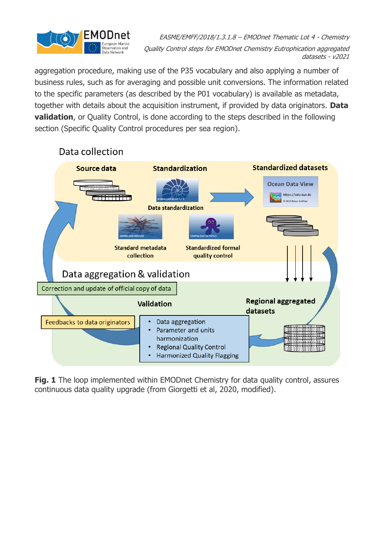

aggregation procedure, making use of the P35 vocabulary and also applying a number of business rules, such as for averaging and possible unit conversions. The information related to the specific parameters (as described by the P01 vocabulary) is available as metadata, together with details about the acquisition instrument, if provided by data originators. **Data validation**, or Quality Control, is done according to the steps described in the following section (Specific Quality Control procedures per sea region).



#### Data collection

**Fig. 1** The loop implemented within EMODnet Chemistry for data quality control, assures continuous data quality upgrade (from Giorgetti et al, 2020, modified).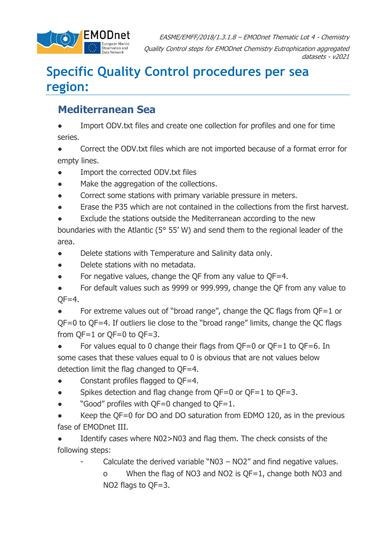

## <span id="page-5-0"></span>**Specific Quality Control procedures per sea region:**

### <span id="page-5-1"></span>**Mediterranean Sea**

Import ODV txt files and create one collection for profiles and one for time series.

● Correct the ODV.txt files which are not imported because of a format error for empty lines.

- Import the corrected ODV.txt files
- Make the aggregation of the collections.
- Correct some stations with primary variable pressure in meters.
- Erase the P35 which are not contained in the collections from the first harvest.

Exclude the stations outside the Mediterranean according to the new boundaries with the Atlantic (5° 55' W) and send them to the regional leader of the area.

- Delete stations with Temperature and Salinity data only.
- Delete stations with no metadata.
- For negative values, change the QF from any value to  $QF=4$ .
- For default values such as 9999 or 999.999, change the QF from any value to  $OF=4.$

For extreme values out of "broad range", change the QC flags from  $QF=1$  or QF=0 to QF=4. If outliers lie close to the "broad range" limits, change the QC flags from QF=1 or QF=0 to QF=3.

● For values equal to 0 change their flags from QF=0 or QF=1 to QF=6. In some cases that these values equal to 0 is obvious that are not values below detection limit the flag changed to QF=4.

- Constant profiles flagged to  $QF=4$ .
- Spikes detection and flag change from QF=0 or QF=1 to QF=3.
- "Good" profiles with  $QF=0$  changed to  $QF=1$ .

Keep the QF=0 for DO and DO saturation from EDMO 120, as in the previous fase of EMODnet III.

Identify cases where N02>N03 and flag them. The check consists of the following steps:

Calculate the derived variable "N03 – NO2" and find negative values.

o When the flag of NO3 and NO2 is QF=1, change both NO3 and NO2 flags to QF=3.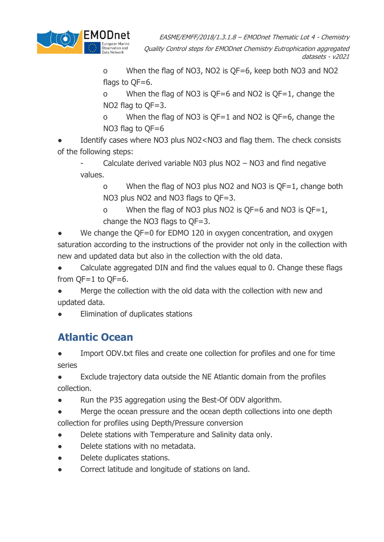

o When the flag of NO3, NO2 is QF=6, keep both NO3 and NO2 flags to OF=6.

o When the flag of NO3 is QF=6 and NO2 is QF=1, change the NO2 flag to QF=3.

o When the flag of NO3 is QF=1 and NO2 is QF=6, change the NO3 flag to  $OF=6$ 

Identify cases where NO3 plus NO2<NO3 and flag them. The check consists of the following steps:

Calculate derived variable N03 plus NO2 – NO3 and find negative values.

o When the flag of NO3 plus NO2 and NO3 is QF=1, change both NO3 plus NO2 and NO3 flags to QF=3.

o When the flag of NO3 plus NO2 is  $OF=6$  and NO3 is  $OF=1$ , change the NO3 flags to QF=3.

We change the  $QF=0$  for EDMO 120 in oxygen concentration, and oxygen saturation according to the instructions of the provider not only in the collection with new and updated data but also in the collection with the old data.

Calculate aggregated DIN and find the values equal to 0. Change these flags from  $OF=1$  to  $OF=6$ .

Merge the collection with the old data with the collection with new and updated data.

**Elimination of duplicates stations** 

#### <span id="page-6-0"></span>**Atlantic Ocean**

Import ODV.txt files and create one collection for profiles and one for time series

Exclude trajectory data outside the NE Atlantic domain from the profiles collection.

• Run the P35 aggregation using the Best-Of ODV algorithm.

● Merge the ocean pressure and the ocean depth collections into one depth collection for profiles using Depth/Pressure conversion

- Delete stations with Temperature and Salinity data only.
- Delete stations with no metadata.
- Delete duplicates stations.
- Correct latitude and longitude of stations on land.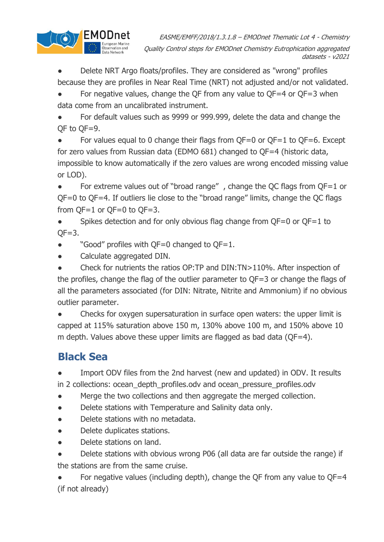

Delete NRT Argo floats/profiles. They are considered as "wrong" profiles because they are profiles in Near Real Time (NRT) not adjusted and/or not validated.

For negative values, change the QF from any value to  $QF=4$  or  $QF=3$  when data come from an uncalibrated instrument.

For default values such as 9999 or 999.999, delete the data and change the QF to QF=9.

● For values equal to 0 change their flags from QF=0 or QF=1 to QF=6. Except for zero values from Russian data (EDMO 681) changed to QF=4 (historic data, impossible to know automatically if the zero values are wrong encoded missing value or LOD).

● For extreme values out of "broad range" , change the QC flags from QF=1 or QF=0 to QF=4. If outliers lie close to the "broad range" limits, change the QC flags from QF=1 or QF=0 to QF=3.

• Spikes detection and for only obvious flag change from QF=0 or QF=1 to  $OF=3.$ 

- "Good" profiles with  $OF=0$  changed to  $OF=1$ .
- Calculate aggregated DIN.

Check for nutrients the ratios OP:TP and DIN:TN>110%. After inspection of the profiles, change the flag of the outlier parameter to QF=3 or change the flags of all the parameters associated (for DIN: Nitrate, Nitrite and Ammonium) if no obvious outlier parameter.

Checks for oxygen supersaturation in surface open waters: the upper limit is capped at 115% saturation above 150 m, 130% above 100 m, and 150% above 10 m depth. Values above these upper limits are flagged as bad data (QF=4).

#### <span id="page-7-0"></span>**Black Sea**

Import ODV files from the 2nd harvest (new and updated) in ODV. It results in 2 collections: ocean depth profiles.odv and ocean pressure profiles.odv

- Merge the two collections and then aggregate the merged collection.
- Delete stations with Temperature and Salinity data only.
- Delete stations with no metadata.
- Delete duplicates stations.
- Delete stations on land.

Delete stations with obvious wrong P06 (all data are far outside the range) if the stations are from the same cruise.

For negative values (including depth), change the OF from any value to  $OF=4$ (if not already)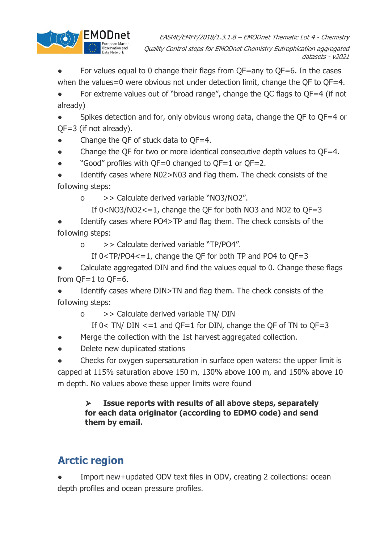

For values equal to 0 change their flags from  $QF=$ any to  $QF=6$ . In the cases when the values=0 were obvious not under detection limit, change the QF to QF=4.

For extreme values out of "broad range", change the QC flags to  $QF=4$  (if not already)

Spikes detection and for, only obvious wrong data, change the QF to QF=4 or QF=3 (if not already).

- Change the OF of stuck data to  $OF=4$ .
- Change the QF for two or more identical consecutive depth values to  $QF=4$ .
- "Good" profiles with  $QF=0$  changed to  $QF=1$  or  $QF=2$ .

Identify cases where N02>N03 and flag them. The check consists of the following steps:

- o >> Calculate derived variable "NO3/NO2".
	- If 0<NO3/NO2<=1, change the QF for both NO3 and NO2 to QF=3

Identify cases where PO4>TP and flag them. The check consists of the following steps:

- o >> Calculate derived variable "TP/PO4".
	- If 0<TP/PO4<=1, change the QF for both TP and PO4 to QF=3

Calculate aggregated DIN and find the values equal to 0. Change these flags from  $OF=1$  to  $OF=6$ .

Identify cases where DIN>TN and flag them. The check consists of the following steps:

o >> Calculate derived variable TN/ DIN

If  $0 <$  TN/ DIN  $\le$  = 1 and QF=1 for DIN, change the QF of TN to QF=3

- Merge the collection with the 1st harvest aggregated collection.
- Delete new duplicated stations
- Checks for oxygen supersaturation in surface open waters: the upper limit is capped at 115% saturation above 150 m, 130% above 100 m, and 150% above 10 m depth. No values above these upper limits were found

#### ⮚ **Issue reports with results of all above steps, separately for each data originator (according to EDMO code) and send them by email.**

### <span id="page-8-0"></span>**Arctic region**

Import new+updated ODV text files in ODV, creating 2 collections: ocean depth profiles and ocean pressure profiles.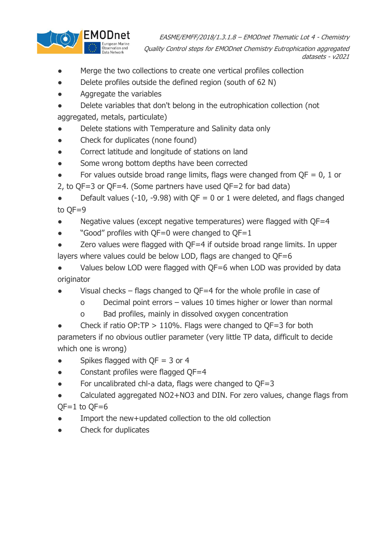

- Merge the two collections to create one vertical profiles collection
- Delete profiles outside the defined region (south of 62 N)
- Aggregate the variables
- Delete variables that don't belong in the eutrophication collection (not aggregated, metals, particulate)
- Delete stations with Temperature and Salinity data only
- Check for duplicates (none found)
- Correct latitude and longitude of stations on land
- Some wrong bottom depths have been corrected
- For values outside broad range limits, flags were changed from  $QF = 0$ , 1 or
- 2, to QF=3 or QF=4. (Some partners have used QF=2 for bad data)

Default values (-10, -9.98) with  $QF = 0$  or 1 were deleted, and flags changed to QF=9

- Negative values (except negative temperatures) were flagged with  $QF=4$
- "Good" profiles with  $OF=0$  were changed to  $OF=1$

● Zero values were flagged with OF=4 if outside broad range limits. In upper layers where values could be below LOD, flags are changed to QF=6

- Values below LOD were flagged with QF=6 when LOD was provided by data originator
- Visual checks flags changed to  $QF=4$  for the whole profile in case of
	- o Decimal point errors values 10 times higher or lower than normal
	- o Bad profiles, mainly in dissolved oxygen concentration
- Check if ratio OP:TP  $> 110\%$ . Flags were changed to QF=3 for both parameters if no obvious outlier parameter (very little TP data, difficult to decide which one is wrong)
- $\bullet$  Spikes flagged with  $\mathsf{QF} = 3$  or 4
- Constant profiles were flagged QF=4
- For uncalibrated chl-a data, flags were changed to  $QF=3$
- Calculated aggregated NO2+NO3 and DIN. For zero values, change flags from
- $OF=1$  to  $OF=6$
- Import the new+updated collection to the old collection
- Check for duplicates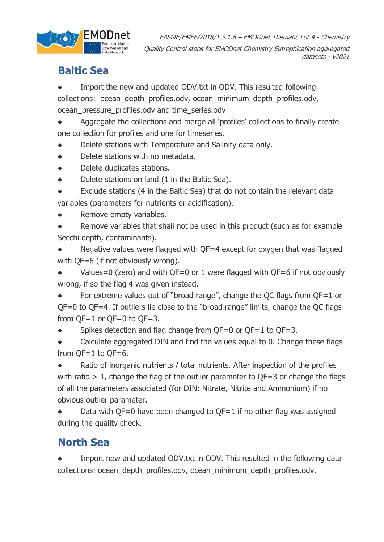

#### <span id="page-10-0"></span>**Baltic Sea**

Import the new and updated ODV.txt in ODV. This resulted following

collections: ocean\_depth\_profiles.odv, ocean\_minimum\_depth\_profiles.odv, ocean\_pressure\_profiles.odv and time\_series.odv

- Aggregate the collections and merge all 'profiles' collections to finally create one collection for profiles and one for timeseries.
- Delete stations with Temperature and Salinity data only.
- Delete stations with no metadata.
- Delete duplicates stations.
- Delete stations on land (1 in the Baltic Sea).
- Exclude stations (4 in the Baltic Sea) that do not contain the relevant data variables (parameters for nutrients or acidification).
- Remove empty variables.
- Remove variables that shall not be used in this product (such as for example Secchi depth, contaminants).

Negative values were flagged with  $QF=4$  except for oxygen that was flagged with QF=6 (if not obviously wrong).

- Values=0 (zero) and with  $OF=0$  or 1 were flagged with  $OF=6$  if not obviously wrong, if so the flag 4 was given instead.
- For extreme values out of "broad range", change the OC flags from  $OF=1$  or QF=0 to QF=4. If outliers lie close to the "broad range" limits, change the QC flags from QF=1 or QF=0 to QF=3.
- $\bullet$  Spikes detection and flag change from  $OF=0$  or  $OF=1$  to  $OF=3$ .
- Calculate aggregated DIN and find the values equal to 0. Change these flags from QF=1 to QF=6.
- Ratio of inorganic nutrients / total nutrients. After inspection of the profiles with ratio  $> 1$ , change the flag of the outlier parameter to  $OF=3$  or change the flags of all the parameters associated (for DIN: Nitrate, Nitrite and Ammonium) if no obvious outlier parameter.

Data with  $QF=0$  have been changed to  $QF=1$  if no other flag was assigned during the quality check.

### <span id="page-10-1"></span>**North Sea**

Import new and updated ODV.txt in ODV. This resulted in the following data collections: ocean\_depth\_profiles.odv, ocean\_minimum\_depth\_profiles.odv,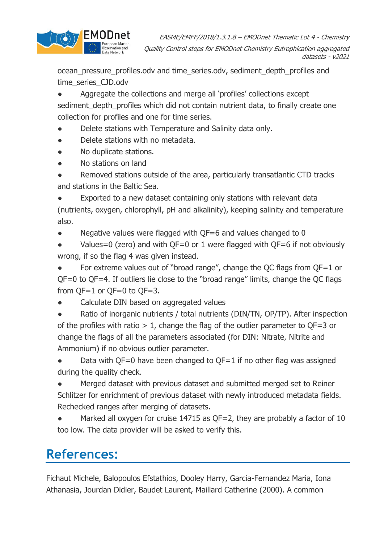

ocean\_pressure\_profiles.odv and time\_series.odv, sediment\_depth\_profiles and time\_series\_CJD.odv

Aggregate the collections and merge all 'profiles' collections except sediment\_depth\_profiles which did not contain nutrient data, to finally create one collection for profiles and one for time series.

- Delete stations with Temperature and Salinity data only.
- Delete stations with no metadata.
- No duplicate stations.
- No stations on land

Removed stations outside of the area, particularly transatlantic CTD tracks and stations in the Baltic Sea.

Exported to a new dataset containing only stations with relevant data (nutrients, oxygen, chlorophyll, pH and alkalinity), keeping salinity and temperature also.

Negative values were flagged with  $QF=6$  and values changed to 0

Values=0 (zero) and with  $OF=0$  or 1 were flagged with  $OF=6$  if not obviously wrong, if so the flag 4 was given instead.

For extreme values out of "broad range", change the QC flags from  $QF=1$  or QF=0 to QF=4. If outliers lie close to the "broad range" limits, change the QC flags from  $OF=1$  or  $OF=0$  to  $OF=3$ .

Calculate DIN based on aggregated values

Ratio of inorganic nutrients / total nutrients (DIN/TN, OP/TP). After inspection of the profiles with ratio  $> 1$ , change the flag of the outlier parameter to QF=3 or change the flags of all the parameters associated (for DIN: Nitrate, Nitrite and Ammonium) if no obvious outlier parameter.

Data with  $QF=0$  have been changed to  $QF=1$  if no other flag was assigned during the quality check.

Merged dataset with previous dataset and submitted merged set to Reiner Schlitzer for enrichment of previous dataset with newly introduced metadata fields. Rechecked ranges after merging of datasets.

Marked all oxygen for cruise 14715 as QF=2, they are probably a factor of 10 too low. The data provider will be asked to verify this.

### <span id="page-11-0"></span>**References:**

Fichaut Michele, Balopoulos Efstathios, Dooley Harry, Garcia-Fernandez Maria, Iona Athanasia, Jourdan Didier, Baudet Laurent, Maillard Catherine (2000). A common